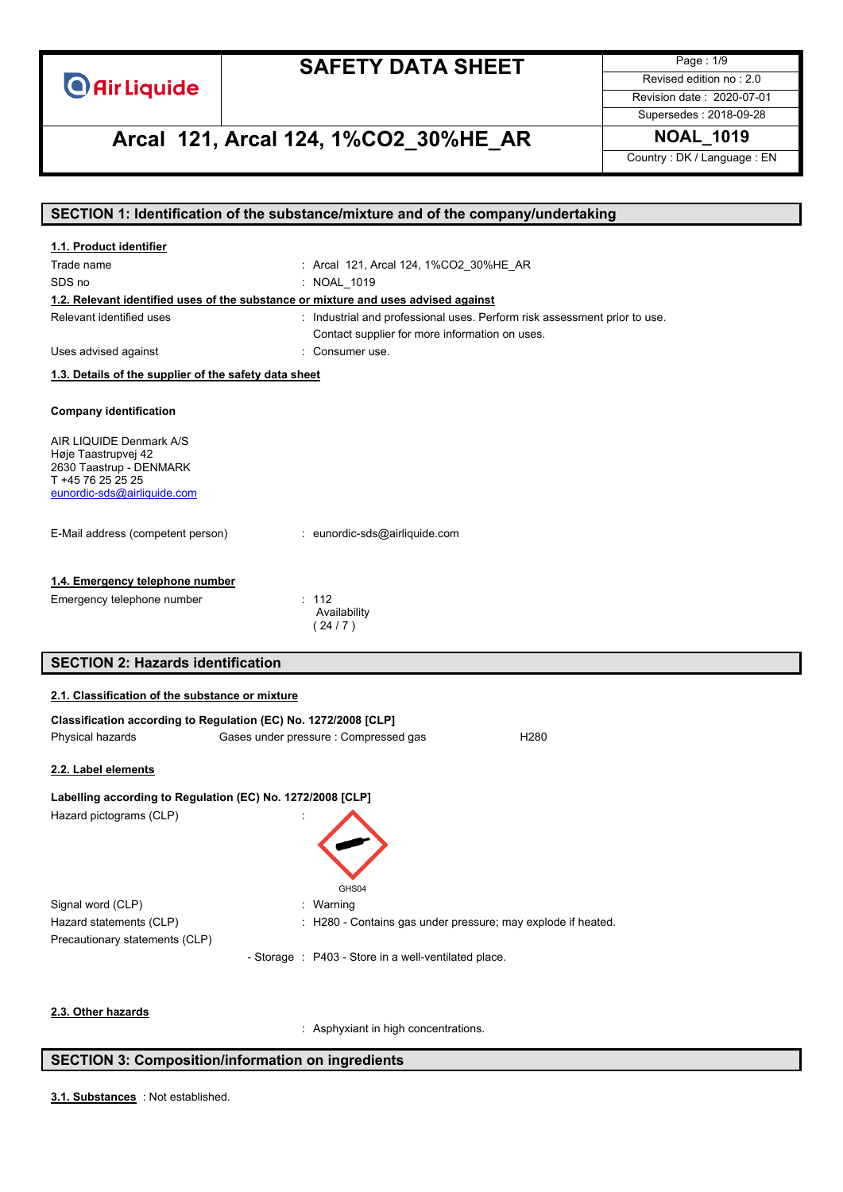

Page : 1/9 Revised edition no : 2.0 Revision date : 2020-07-01

### Supersedes : 2018-09-28

# **Arcal 121, Arcal 124, 1%CO2\_30%HE\_AR NOAL\_1019**

Country : DK / Language : EN

|                                                                                    | SECTION 1: Identification of the substance/mixture and of the company/undertaking |
|------------------------------------------------------------------------------------|-----------------------------------------------------------------------------------|
|                                                                                    |                                                                                   |
| 1.1. Product identifier<br>Trade name                                              |                                                                                   |
| SDS no                                                                             | : Arcal 121, Arcal 124, 1%CO2_30%HE_AR<br>: NOAL_1019                             |
| 1.2. Relevant identified uses of the substance or mixture and uses advised against |                                                                                   |
| Relevant identified uses                                                           | : Industrial and professional uses. Perform risk assessment prior to use.         |
|                                                                                    | Contact supplier for more information on uses.                                    |
| Uses advised against                                                               | : Consumer use.                                                                   |
| 1.3. Details of the supplier of the safety data sheet                              |                                                                                   |
|                                                                                    |                                                                                   |
| <b>Company identification</b>                                                      |                                                                                   |
| AIR LIQUIDE Denmark A/S                                                            |                                                                                   |
| Høje Taastrupvej 42                                                                |                                                                                   |
| 2630 Taastrup - DENMARK<br>T +45 76 25 25 25                                       |                                                                                   |
| eunordic-sds@airliquide.com                                                        |                                                                                   |
|                                                                                    |                                                                                   |
| E-Mail address (competent person)                                                  | : eunordic-sds@airliquide.com                                                     |
|                                                                                    |                                                                                   |
| 1.4. Emergency telephone number                                                    |                                                                                   |
| Emergency telephone number                                                         | : 112                                                                             |
|                                                                                    | Availability                                                                      |
|                                                                                    | (24/7)                                                                            |
| <b>SECTION 2: Hazards identification</b>                                           |                                                                                   |
|                                                                                    |                                                                                   |
| 2.1. Classification of the substance or mixture                                    |                                                                                   |
| Classification according to Regulation (EC) No. 1272/2008 [CLP]                    |                                                                                   |
| Physical hazards                                                                   | Gases under pressure : Compressed gas<br>H <sub>280</sub>                         |
| 2.2. Label elements                                                                |                                                                                   |
| Labelling according to Regulation (EC) No. 1272/2008 [CLP]                         |                                                                                   |
|                                                                                    |                                                                                   |
| Hazard pictograms (CLP)                                                            |                                                                                   |
|                                                                                    |                                                                                   |
|                                                                                    |                                                                                   |
|                                                                                    |                                                                                   |
| Signal word (CLP)                                                                  | GHS04<br>: Warning                                                                |
| Hazard statements (CLP)                                                            | : H280 - Contains gas under pressure; may explode if heated.                      |
| Precautionary statements (CLP)                                                     |                                                                                   |
|                                                                                    | - Storage : P403 - Store in a well-ventilated place.                              |
|                                                                                    |                                                                                   |
|                                                                                    |                                                                                   |
| 2.3. Other hazards                                                                 |                                                                                   |

: Asphyxiant in high concentrations.

### **SECTION 3: Composition/information on ingredients**

: Not established. **3.1. Substances**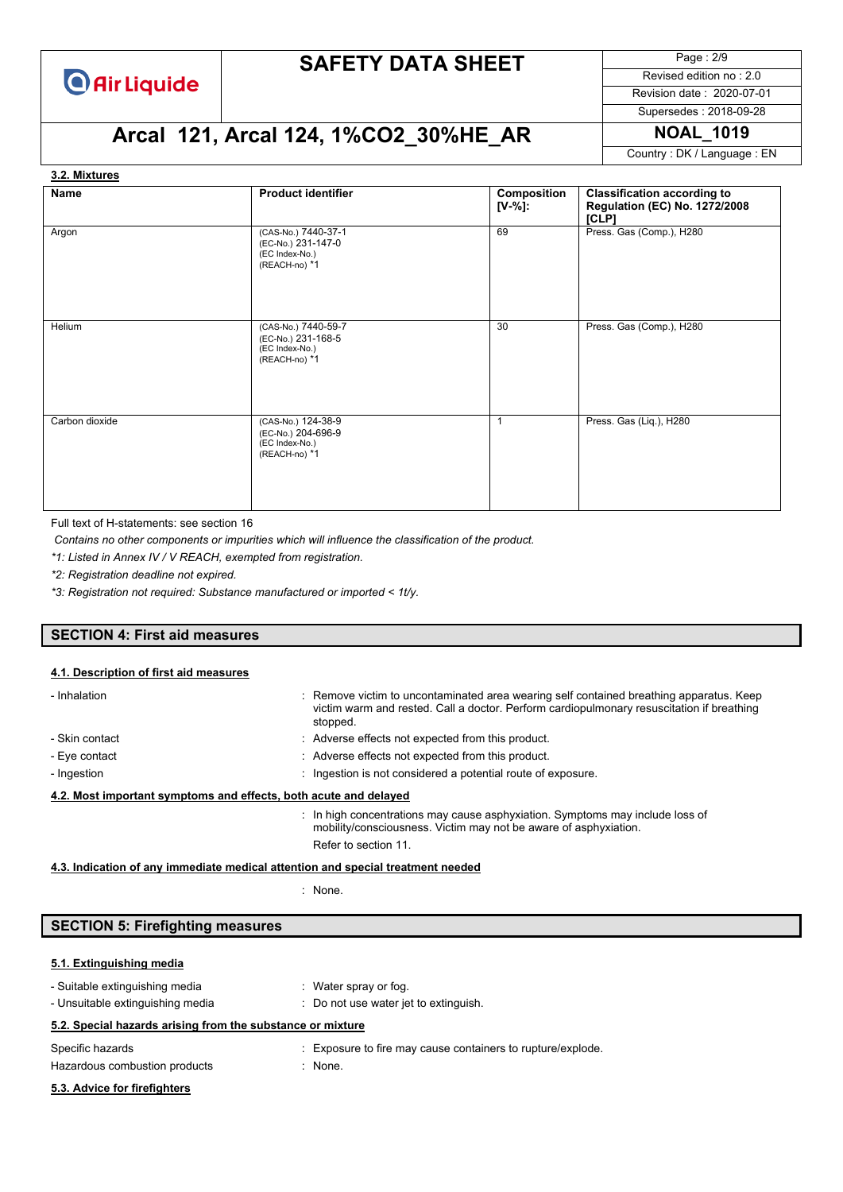

Page : 2/9 Revised edition no : 2.0

Revision date : 2020-07-01 Supersedes : 2018-09-28

# **Arcal 121, Arcal 124, 1%CO2\_30%HE\_AR NOAL\_1019**

#### Country : DK / Language : EN

### **3.2. Mixtures**

| <b>Name</b>    | <b>Product identifier</b>                                                    | Composition<br>$[V-%]:$ | <b>Classification according to</b><br>Regulation (EC) No. 1272/2008<br>[CLP] |
|----------------|------------------------------------------------------------------------------|-------------------------|------------------------------------------------------------------------------|
| Argon          | (CAS-No.) 7440-37-1<br>(EC-No.) 231-147-0<br>(EC Index-No.)<br>(REACH-no) *1 | 69                      | Press. Gas (Comp.), H280                                                     |
| Helium         | (CAS-No.) 7440-59-7<br>(EC-No.) 231-168-5<br>(EC Index-No.)<br>(REACH-no) *1 | 30                      | Press. Gas (Comp.), H280                                                     |
| Carbon dioxide | (CAS-No.) 124-38-9<br>(EC-No.) 204-696-9<br>(EC Index-No.)<br>(REACH-no) *1  | $\mathbf 1$             | Press. Gas (Lig.), H280                                                      |

Full text of H-statements: see section 16

*Contains no other components or impurities which will influence the classification of the product.*

*\*1: Listed in Annex IV / V REACH, exempted from registration.*

*\*2: Registration deadline not expired.*

*\*3: Registration not required: Substance manufactured or imported < 1t/y.*

#### **SECTION 4: First aid measures**

#### **4.1. Description of first aid measures**

| - Inhalation                                                     | : Remove victim to uncontaminated area wearing self contained breathing apparatus. Keep<br>victim warm and rested. Call a doctor. Perform cardiopulmonary resuscitation if breathing<br>stopped. |
|------------------------------------------------------------------|--------------------------------------------------------------------------------------------------------------------------------------------------------------------------------------------------|
| - Skin contact                                                   | : Adverse effects not expected from this product.                                                                                                                                                |
| - Eye contact                                                    | : Adverse effects not expected from this product.                                                                                                                                                |
| - Ingestion                                                      | : Ingestion is not considered a potential route of exposure.                                                                                                                                     |
| 4.2. Most important symptoms and effects, both acute and delayed |                                                                                                                                                                                                  |
|                                                                  | : In high concentrations may cause asphyxiation. Symptoms may include loss of<br>mobility/consciousness. Victim may not be aware of asphyxiation.<br>Refer to section 11.                        |

**4.3. Indication of any immediate medical attention and special treatment needed**

: None.

### **SECTION 5: Firefighting measures**

### **5.1. Extinguishing media**

| - Suitable extinguishing media<br>- Unsuitable extinguishing media | : Water spray or fog.<br>: Do not use water jet to extinguish. |
|--------------------------------------------------------------------|----------------------------------------------------------------|
| 5.2. Special hazards arising from the substance or mixture         |                                                                |
| Specific hazards                                                   | : Exposure to fire may cause containers to rupture/explode.    |
| Hazardous combustion products                                      | $:$ None.                                                      |
| 5.3. Advice for firefighters                                       |                                                                |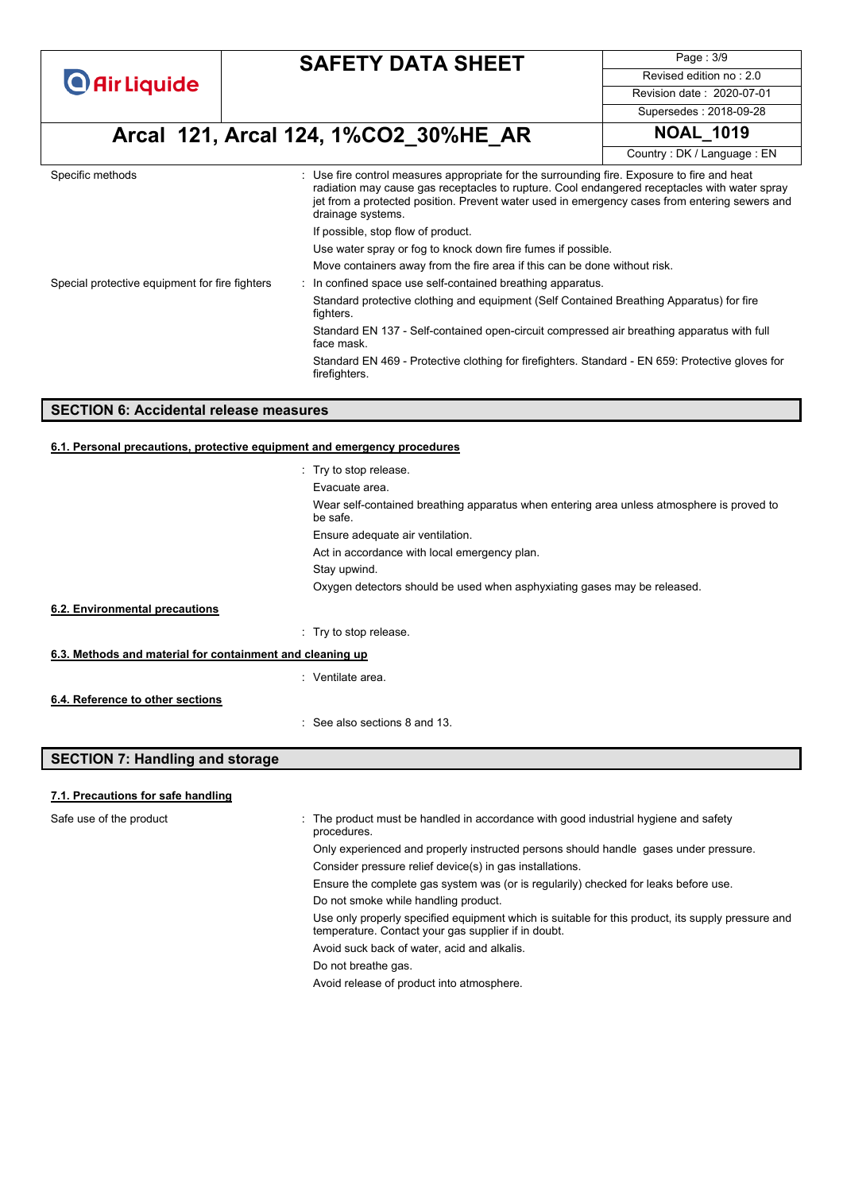Page : 3/9 Revised edition no : 2.0 Revision date : 2020-07-01 Supersedes : 2018-09-28

# **Arcal 121, Arcal 124, 1%CO2\_30%HE\_AR NOAL\_1019**

|                                                | Country: DK / Language: EN                                                                                                                                                                                                                                                                                      |
|------------------------------------------------|-----------------------------------------------------------------------------------------------------------------------------------------------------------------------------------------------------------------------------------------------------------------------------------------------------------------|
| Specific methods                               | Use fire control measures appropriate for the surrounding fire. Exposure to fire and heat<br>radiation may cause gas receptacles to rupture. Cool endangered receptacles with water spray<br>jet from a protected position. Prevent water used in emergency cases from entering sewers and<br>drainage systems. |
|                                                | If possible, stop flow of product.                                                                                                                                                                                                                                                                              |
|                                                | Use water spray or fog to knock down fire fumes if possible.                                                                                                                                                                                                                                                    |
|                                                | Move containers away from the fire area if this can be done without risk.                                                                                                                                                                                                                                       |
| Special protective equipment for fire fighters | : In confined space use self-contained breathing apparatus.                                                                                                                                                                                                                                                     |
|                                                | Standard protective clothing and equipment (Self Contained Breathing Apparatus) for fire<br>fighters.                                                                                                                                                                                                           |
|                                                | Standard EN 137 - Self-contained open-circuit compressed air breathing apparatus with full<br>face mask.                                                                                                                                                                                                        |
|                                                | Standard EN 469 - Protective clothing for firefighters. Standard - EN 659: Protective gloves for<br>firefighters.                                                                                                                                                                                               |

#### **SECTION 6: Accidental release measures**

#### **6.1. Personal precautions, protective equipment and emergency procedures**

|                                                           | $\therefore$ Try to stop release.                                                                     |
|-----------------------------------------------------------|-------------------------------------------------------------------------------------------------------|
|                                                           | Evacuate area.                                                                                        |
|                                                           | Wear self-contained breathing apparatus when entering area unless atmosphere is proved to<br>be safe. |
|                                                           | Ensure adequate air ventilation.                                                                      |
|                                                           | Act in accordance with local emergency plan.                                                          |
|                                                           | Stay upwind.                                                                                          |
|                                                           | Oxygen detectors should be used when asphyxiating gases may be released.                              |
| 6.2. Environmental precautions                            |                                                                                                       |
|                                                           | $\therefore$ Try to stop release.                                                                     |
| 6.3. Methods and material for containment and cleaning up |                                                                                                       |
|                                                           | : Ventilate area.                                                                                     |
| 6.4. Reference to other sections                          |                                                                                                       |
|                                                           | $\therefore$ See also sections 8 and 13.                                                              |

### **SECTION 7: Handling and storage**

#### **7.1. Precautions for safe handling**

| Safe use of the product | : The product must be handled in accordance with good industrial hygiene and safety<br>procedures.                                                       |
|-------------------------|----------------------------------------------------------------------------------------------------------------------------------------------------------|
|                         | Only experienced and properly instructed persons should handle gases under pressure.                                                                     |
|                         | Consider pressure relief device(s) in gas installations.                                                                                                 |
|                         | Ensure the complete gas system was (or is regularily) checked for leaks before use.                                                                      |
|                         | Do not smoke while handling product.                                                                                                                     |
|                         | Use only properly specified equipment which is suitable for this product, its supply pressure and<br>temperature. Contact your gas supplier if in doubt. |
|                         | Avoid suck back of water, acid and alkalis.                                                                                                              |
|                         | Do not breathe gas.                                                                                                                                      |
|                         | Avoid release of product into atmosphere.                                                                                                                |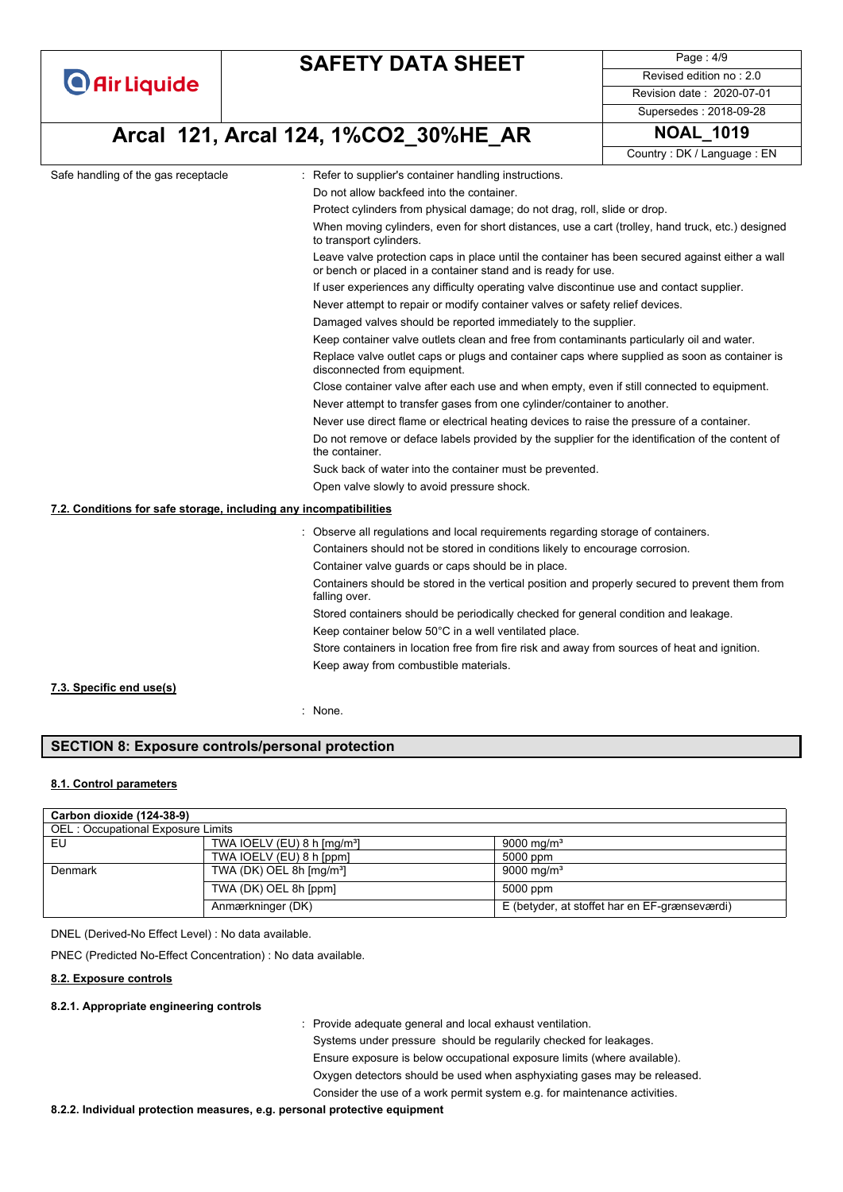| <b>O</b> Air Liquide |  |  |
|----------------------|--|--|

Page : 4/9 Revised edition no : 2.0 Revision date : 2020-07-01 Supersedes : 2018-09-28

# **Arcal 121, Arcal 124, 1%CO2\_30%HE\_AR NOAL\_1019**

Country : DK / Language : EN

|                                                                   |                                                                                                                                                                  | Country: DK / Language: EN |
|-------------------------------------------------------------------|------------------------------------------------------------------------------------------------------------------------------------------------------------------|----------------------------|
| Safe handling of the gas receptacle                               | : Refer to supplier's container handling instructions.                                                                                                           |                            |
|                                                                   | Do not allow backfeed into the container.                                                                                                                        |                            |
|                                                                   | Protect cylinders from physical damage; do not drag, roll, slide or drop.                                                                                        |                            |
|                                                                   | When moving cylinders, even for short distances, use a cart (trolley, hand truck, etc.) designed<br>to transport cylinders.                                      |                            |
|                                                                   | Leave valve protection caps in place until the container has been secured against either a wall<br>or bench or placed in a container stand and is ready for use. |                            |
|                                                                   | If user experiences any difficulty operating valve discontinue use and contact supplier.                                                                         |                            |
|                                                                   | Never attempt to repair or modify container valves or safety relief devices.                                                                                     |                            |
|                                                                   | Damaged valves should be reported immediately to the supplier.                                                                                                   |                            |
|                                                                   | Keep container valve outlets clean and free from contaminants particularly oil and water.                                                                        |                            |
|                                                                   | Replace valve outlet caps or plugs and container caps where supplied as soon as container is<br>disconnected from equipment.                                     |                            |
|                                                                   | Close container valve after each use and when empty, even if still connected to equipment.                                                                       |                            |
|                                                                   | Never attempt to transfer gases from one cylinder/container to another.                                                                                          |                            |
|                                                                   | Never use direct flame or electrical heating devices to raise the pressure of a container.                                                                       |                            |
|                                                                   | Do not remove or deface labels provided by the supplier for the identification of the content of<br>the container.                                               |                            |
|                                                                   | Suck back of water into the container must be prevented.                                                                                                         |                            |
|                                                                   | Open valve slowly to avoid pressure shock.                                                                                                                       |                            |
| 7.2. Conditions for safe storage, including any incompatibilities |                                                                                                                                                                  |                            |
|                                                                   | : Observe all regulations and local requirements regarding storage of containers.                                                                                |                            |
|                                                                   | Containers should not be stored in conditions likely to encourage corrosion.                                                                                     |                            |
|                                                                   | Container valve guards or caps should be in place.                                                                                                               |                            |
|                                                                   | Containers should be stored in the vertical position and properly secured to prevent them from<br>falling over.                                                  |                            |
|                                                                   | Stored containers should be periodically checked for general condition and leakage.                                                                              |                            |
|                                                                   | Keep container below 50°C in a well ventilated place.                                                                                                            |                            |
|                                                                   | Store containers in location free from fire risk and away from sources of heat and ignition.                                                                     |                            |
|                                                                   | Keep away from combustible materials.                                                                                                                            |                            |
| 7.3. Specific end use(s)                                          |                                                                                                                                                                  |                            |

: None.

#### **SECTION 8: Exposure controls/personal protection**

#### **8.1. Control parameters**

| Carbon dioxide (124-38-9)         |                                         |                                               |  |  |
|-----------------------------------|-----------------------------------------|-----------------------------------------------|--|--|
| OEL: Occupational Exposure Limits |                                         |                                               |  |  |
| EU                                | TWA IOELV (EU) 8 h [mg/m <sup>3</sup> ] | 9000 ma/m $3$                                 |  |  |
|                                   | TWA IOELV (EU) 8 h [ppm]                | 5000 ppm                                      |  |  |
| Denmark                           | TWA (DK) OEL 8h [mq/m <sup>3</sup> ]    | 9000 mg/m <sup>3</sup>                        |  |  |
|                                   | TWA (DK) OEL 8h [ppm]                   | 5000 ppm                                      |  |  |
|                                   | Anmærkninger (DK)                       | E (betyder, at stoffet har en EF-grænseværdi) |  |  |

DNEL (Derived-No Effect Level) : No data available.

PNEC (Predicted No-Effect Concentration) : No data available.

#### **8.2. Exposure controls**

#### **8.2.1. Appropriate engineering controls**

: Provide adequate general and local exhaust ventilation.

Systems under pressure should be regularily checked for leakages. Ensure exposure is below occupational exposure limits (where available).

Oxygen detectors should be used when asphyxiating gases may be released.

Consider the use of a work permit system e.g. for maintenance activities.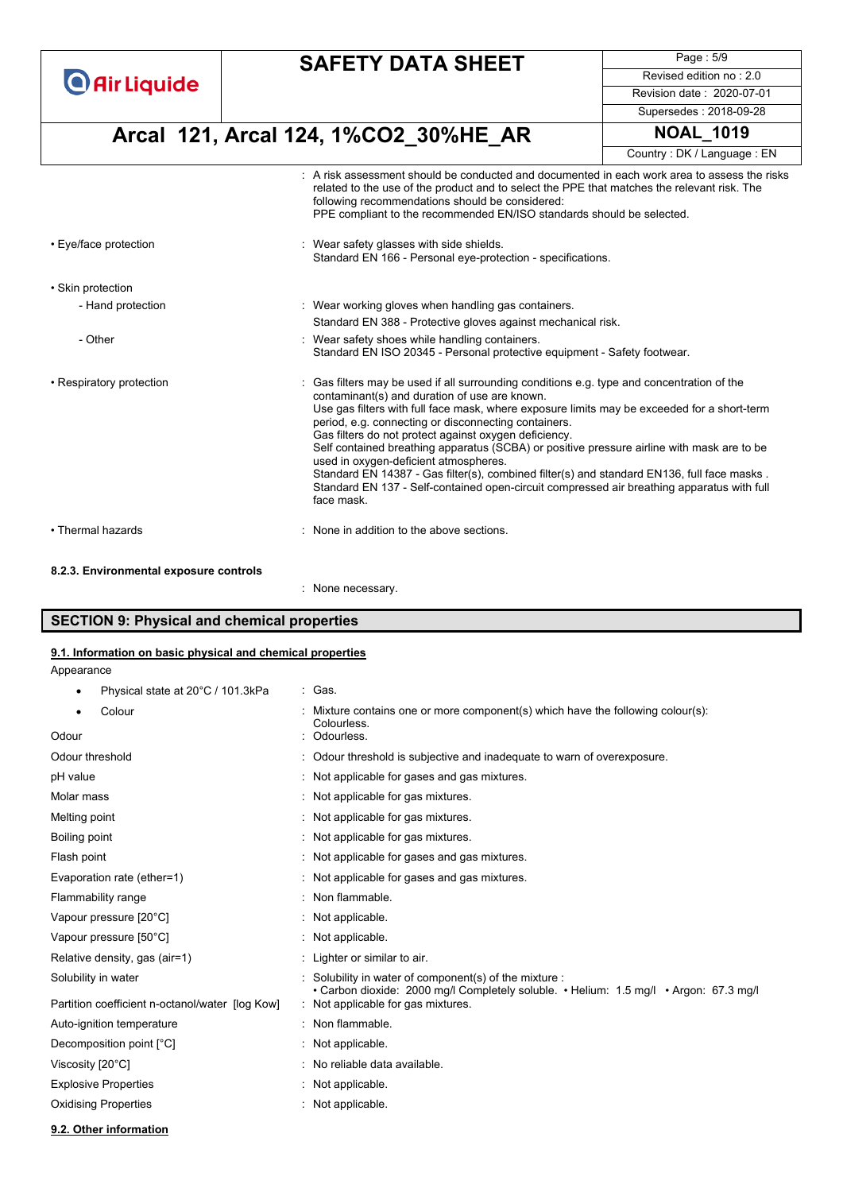| <b>O</b> Air Liquide     | <b>SAFETY DATA SHEET</b><br>Arcal 121, Arcal 124, 1%CO2_30%HE_AR                                                                                                                                                                                                                                                                                                                                                                                                                                                                                                                                                                                                                                           | Revised edition no: 2.0<br>Revision date: 2020-07-01<br>Supersedes: 2018-09-28<br><b>NOAL_1019</b> |
|--------------------------|------------------------------------------------------------------------------------------------------------------------------------------------------------------------------------------------------------------------------------------------------------------------------------------------------------------------------------------------------------------------------------------------------------------------------------------------------------------------------------------------------------------------------------------------------------------------------------------------------------------------------------------------------------------------------------------------------------|----------------------------------------------------------------------------------------------------|
|                          |                                                                                                                                                                                                                                                                                                                                                                                                                                                                                                                                                                                                                                                                                                            |                                                                                                    |
|                          |                                                                                                                                                                                                                                                                                                                                                                                                                                                                                                                                                                                                                                                                                                            |                                                                                                    |
|                          |                                                                                                                                                                                                                                                                                                                                                                                                                                                                                                                                                                                                                                                                                                            |                                                                                                    |
|                          |                                                                                                                                                                                                                                                                                                                                                                                                                                                                                                                                                                                                                                                                                                            |                                                                                                    |
|                          |                                                                                                                                                                                                                                                                                                                                                                                                                                                                                                                                                                                                                                                                                                            | Country: DK / Language: EN                                                                         |
|                          | : A risk assessment should be conducted and documented in each work area to assess the risks<br>related to the use of the product and to select the PPE that matches the relevant risk. The<br>following recommendations should be considered:<br>PPE compliant to the recommended EN/ISO standards should be selected.                                                                                                                                                                                                                                                                                                                                                                                    |                                                                                                    |
| • Eye/face protection    | : Wear safety glasses with side shields.<br>Standard EN 166 - Personal eye-protection - specifications.                                                                                                                                                                                                                                                                                                                                                                                                                                                                                                                                                                                                    |                                                                                                    |
| • Skin protection        |                                                                                                                                                                                                                                                                                                                                                                                                                                                                                                                                                                                                                                                                                                            |                                                                                                    |
| - Hand protection        | : Wear working gloves when handling gas containers.                                                                                                                                                                                                                                                                                                                                                                                                                                                                                                                                                                                                                                                        |                                                                                                    |
|                          | Standard EN 388 - Protective gloves against mechanical risk.                                                                                                                                                                                                                                                                                                                                                                                                                                                                                                                                                                                                                                               |                                                                                                    |
| - Other                  | : Wear safety shoes while handling containers.<br>Standard EN ISO 20345 - Personal protective equipment - Safety footwear.                                                                                                                                                                                                                                                                                                                                                                                                                                                                                                                                                                                 |                                                                                                    |
| • Respiratory protection | Gas filters may be used if all surrounding conditions e.g. type and concentration of the<br>contaminant(s) and duration of use are known.<br>Use gas filters with full face mask, where exposure limits may be exceeded for a short-term<br>period, e.g. connecting or disconnecting containers.<br>Gas filters do not protect against oxygen deficiency.<br>Self contained breathing apparatus (SCBA) or positive pressure airline with mask are to be<br>used in oxygen-deficient atmospheres.<br>Standard EN 14387 - Gas filter(s), combined filter(s) and standard EN136, full face masks.<br>Standard EN 137 - Self-contained open-circuit compressed air breathing apparatus with full<br>face mask. |                                                                                                    |
| • Thermal hazards        | : None in addition to the above sections.                                                                                                                                                                                                                                                                                                                                                                                                                                                                                                                                                                                                                                                                  |                                                                                                    |

: None necessary.

### **SECTION 9: Physical and chemical properties**

### **9.1. Information on basic physical and chemical properties**

Appearance

• Physical state at 20°C / 101.3kPa : Gas.

| Colour                                          | Mixture contains one or more component(s) which have the following colour(s):                                                                 |
|-------------------------------------------------|-----------------------------------------------------------------------------------------------------------------------------------------------|
| Odour                                           | Colourless.<br>Odourless.                                                                                                                     |
| Odour threshold                                 | Odour threshold is subjective and inadequate to warn of overexposure.                                                                         |
| pH value                                        | Not applicable for gases and gas mixtures.                                                                                                    |
| Molar mass                                      | Not applicable for gas mixtures.                                                                                                              |
| Melting point                                   | Not applicable for gas mixtures.                                                                                                              |
| Boiling point                                   | Not applicable for gas mixtures.                                                                                                              |
| Flash point                                     | Not applicable for gases and gas mixtures.                                                                                                    |
| Evaporation rate (ether=1)                      | Not applicable for gases and gas mixtures.                                                                                                    |
| Flammability range                              | Non flammable.                                                                                                                                |
| Vapour pressure [20°C]                          | Not applicable.                                                                                                                               |
| Vapour pressure [50°C]                          | Not applicable.                                                                                                                               |
| Relative density, gas (air=1)                   | : Lighter or similar to air.                                                                                                                  |
| Solubility in water                             | Solubility in water of component(s) of the mixture :<br>• Carbon dioxide: 2000 mg/l Completely soluble. • Helium: 1.5 mg/l • Argon: 67.3 mg/l |
| Partition coefficient n-octanol/water [log Kow] | : Not applicable for gas mixtures.                                                                                                            |
| Auto-ignition temperature                       | Non flammable.                                                                                                                                |
| Decomposition point [°C]                        | Not applicable.                                                                                                                               |
| Viscosity [20°C]                                | No reliable data available.                                                                                                                   |
| <b>Explosive Properties</b>                     | Not applicable.                                                                                                                               |
| <b>Oxidising Properties</b>                     | Not applicable.                                                                                                                               |

**9.2. Other information**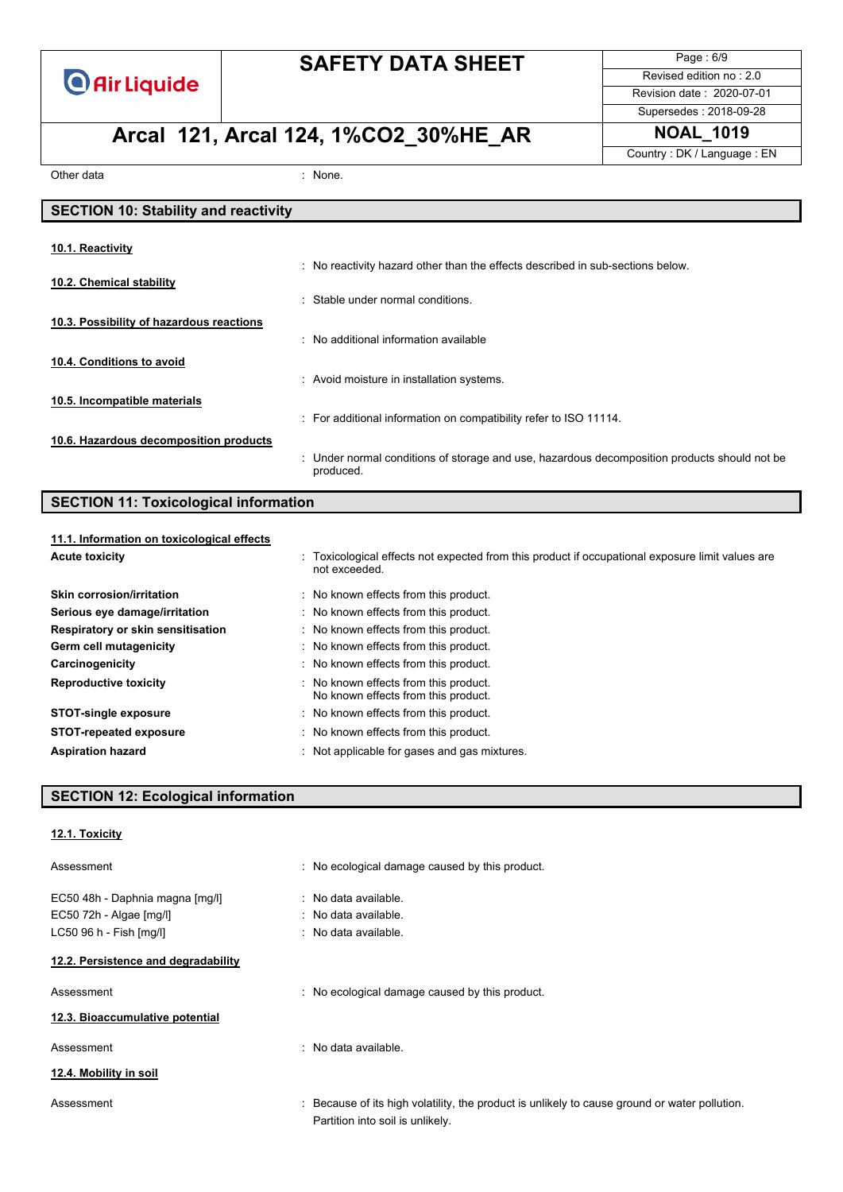

Page : 6/9 Revised edition no : 2.0 Revision date : 2020-07-01

# **Arcal 121, Arcal 124, 1%CO2\_30%HE\_AR NOAL\_1019**

Supersedes : 2018-09-28

Country : DK / Language : EN

Other data in the set of the set of the set of the set of the set of the set of the set of the set of the set of the set of the set of the set of the set of the set of the set of the set of the set of the set of the set of

| <b>SECTION 10: Stability and reactivity</b> |                                                                                                           |
|---------------------------------------------|-----------------------------------------------------------------------------------------------------------|
|                                             |                                                                                                           |
| 10.1. Reactivity                            |                                                                                                           |
|                                             | : No reactivity hazard other than the effects described in sub-sections below.                            |
| 10.2. Chemical stability                    |                                                                                                           |
|                                             | : Stable under normal conditions.                                                                         |
| 10.3. Possibility of hazardous reactions    |                                                                                                           |
|                                             | : No additional information available                                                                     |
|                                             |                                                                                                           |
| 10.4. Conditions to avoid                   |                                                                                                           |
|                                             | : Avoid moisture in installation systems.                                                                 |
| 10.5. Incompatible materials                |                                                                                                           |
|                                             | : For additional information on compatibility refer to ISO 11114.                                         |
| 10.6. Hazardous decomposition products      |                                                                                                           |
|                                             | : Under normal conditions of storage and use, hazardous decomposition products should not be<br>produced. |

### **SECTION 11: Toxicological information**

| 11.1. Information on toxicological effects |                                                                                                                   |
|--------------------------------------------|-------------------------------------------------------------------------------------------------------------------|
| <b>Acute toxicity</b>                      | : Toxicological effects not expected from this product if occupational exposure limit values are<br>not exceeded. |
| Skin corrosion/irritation                  | : No known effects from this product.                                                                             |
| Serious eye damage/irritation              | : No known effects from this product.                                                                             |
| Respiratory or skin sensitisation          | : No known effects from this product.                                                                             |
| Germ cell mutagenicity                     | : No known effects from this product.                                                                             |
| Carcinogenicity                            | : No known effects from this product.                                                                             |
| <b>Reproductive toxicity</b>               | : No known effects from this product.<br>No known effects from this product.                                      |
| <b>STOT-single exposure</b>                | : No known effects from this product.                                                                             |
| <b>STOT-repeated exposure</b>              | : No known effects from this product.                                                                             |
| <b>Aspiration hazard</b>                   | : Not applicable for gases and gas mixtures.                                                                      |

### **SECTION 12: Ecological information**

| 12.1. Toxicity |  |
|----------------|--|
|                |  |

| Assessment                          | : No ecological damage caused by this product.                                                                                    |
|-------------------------------------|-----------------------------------------------------------------------------------------------------------------------------------|
| EC50 48h - Daphnia magna [mg/l]     | $:$ No data available.                                                                                                            |
| EC50 72h - Algae [mg/l]             | $:$ No data available.                                                                                                            |
| LC50 96 h - Fish [mg/l]             | $\therefore$ No data available.                                                                                                   |
| 12.2. Persistence and degradability |                                                                                                                                   |
| Assessment                          | : No ecological damage caused by this product.                                                                                    |
| 12.3. Bioaccumulative potential     |                                                                                                                                   |
| Assessment                          | $\therefore$ No data available.                                                                                                   |
| 12.4. Mobility in soil              |                                                                                                                                   |
| Assessment                          | : Because of its high volatility, the product is unlikely to cause ground or water pollution.<br>Partition into soil is unlikely. |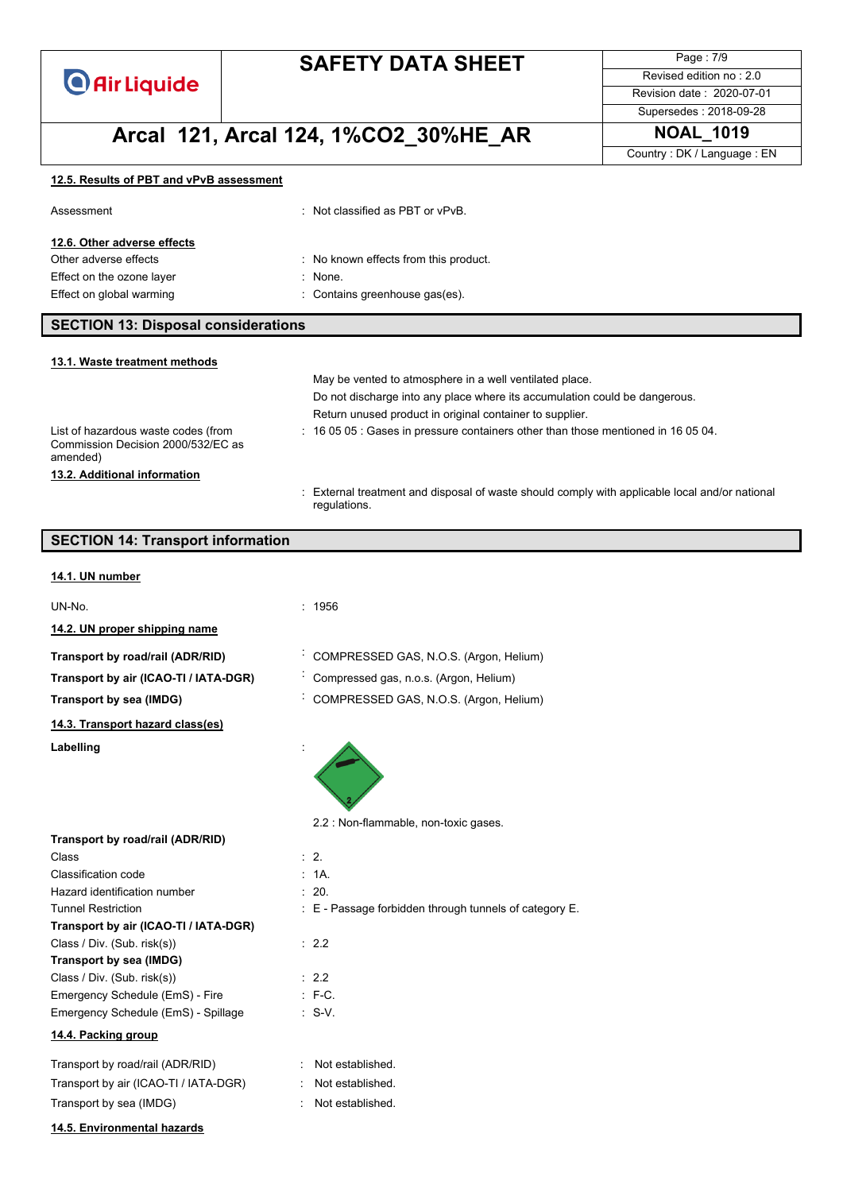

Page : 7/9 Revised edition no : 2.0 Revision date : 2020-07-01 Supersedes : 2018-09-28

# **Arcal 121, Arcal 124, 1%CO2\_30%HE\_AR NOAL\_1019**

Country : DK / Language : EN

### **12.5. Results of PBT and vPvB assessment**

| Assessment                  | : Not classified as PBT or $vPvB$ .   |
|-----------------------------|---------------------------------------|
| 12.6. Other adverse effects |                                       |
| Other adverse effects       | : No known effects from this product. |
| Effect on the ozone layer   | None.                                 |
| Effect on global warming    | : Contains greenhouse gas(es).        |
|                             |                                       |

### **SECTION 13: Disposal considerations**

| 13.1. Waste treatment methods                                                         |                                                                                                                |
|---------------------------------------------------------------------------------------|----------------------------------------------------------------------------------------------------------------|
|                                                                                       | May be vented to atmosphere in a well ventilated place.                                                        |
|                                                                                       | Do not discharge into any place where its accumulation could be dangerous.                                     |
|                                                                                       | Return unused product in original container to supplier.                                                       |
| List of hazardous waste codes (from<br>Commission Decision 2000/532/EC as<br>amended) | : 16 05 05 : Gases in pressure containers other than those mentioned in 16 05 04.                              |
| 13.2. Additional information                                                          |                                                                                                                |
|                                                                                       | : External treatment and disposal of waste should comply with applicable local and/or national<br>regulations. |

### **SECTION 14: Transport information**

#### **14.1. UN number**

| UN-No.                                | : 1956                                                 |
|---------------------------------------|--------------------------------------------------------|
| 14.2. UN proper shipping name         |                                                        |
| Transport by road/rail (ADR/RID)      | COMPRESSED GAS, N.O.S. (Argon, Helium)                 |
| Transport by air (ICAO-TI / IATA-DGR) | Compressed gas, n.o.s. (Argon, Helium)                 |
| Transport by sea (IMDG)               | COMPRESSED GAS, N.O.S. (Argon, Helium)                 |
| 14.3. Transport hazard class(es)      |                                                        |
| Labelling                             |                                                        |
|                                       | 2.2 : Non-flammable, non-toxic gases.                  |
| Transport by road/rail (ADR/RID)      |                                                        |
| Class                                 | $\therefore$ 2.                                        |
| Classification code                   | : 1A.                                                  |
| Hazard identification number          | : 20.                                                  |
| <b>Tunnel Restriction</b>             | : E - Passage forbidden through tunnels of category E. |
| Transport by air (ICAO-TI / IATA-DGR) |                                                        |
| Class / Div. (Sub. risk(s))           | : 2.2                                                  |
| Transport by sea (IMDG)               |                                                        |
| Class / Div. (Sub. risk(s))           | : 2.2                                                  |
| Emergency Schedule (EmS) - Fire       | $\therefore$ F-C.                                      |
| Emergency Schedule (EmS) - Spillage   | $: S-V.$                                               |
| 14.4. Packing group                   |                                                        |
| Transport by road/rail (ADR/RID)      | Not established.                                       |
| Transport by air (ICAO-TI / IATA-DGR) | Not established.                                       |
| Transport by sea (IMDG)               | Not established.                                       |
| 14.5. Environmental hazards           |                                                        |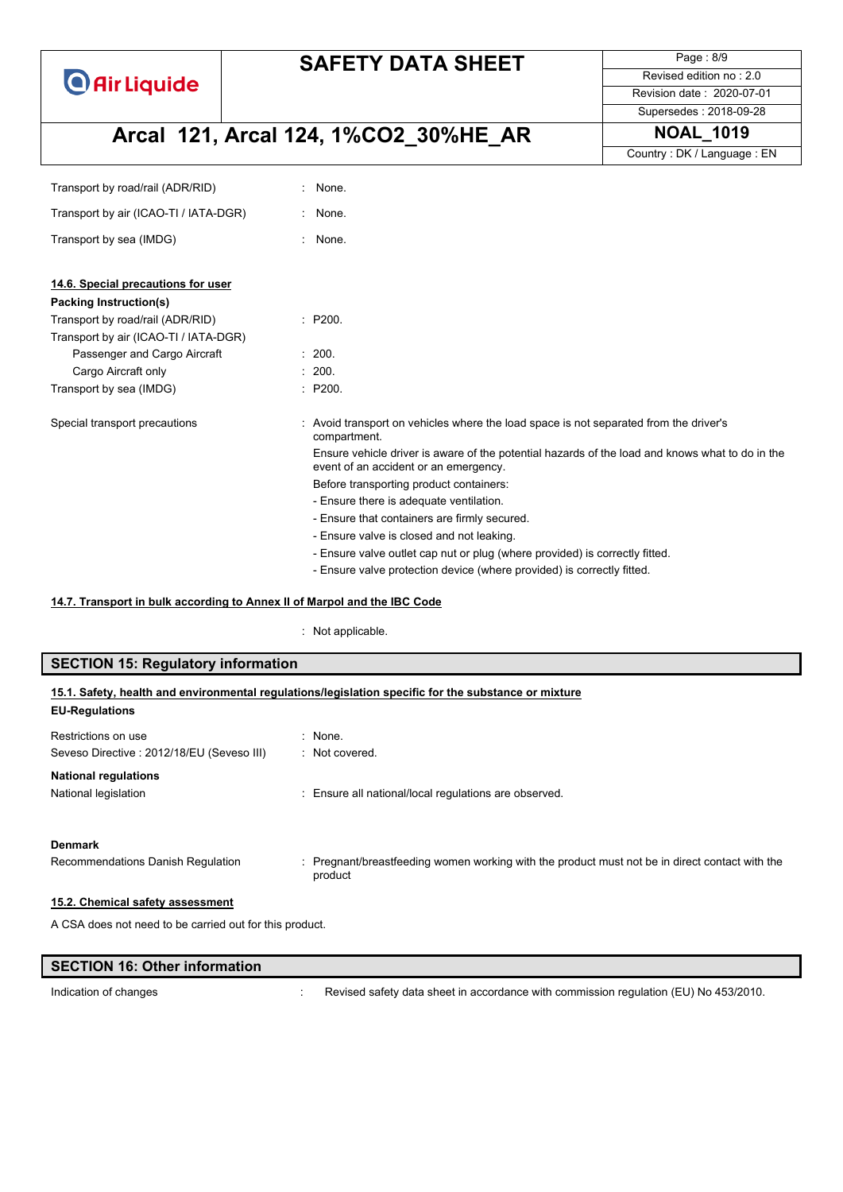**O** Air Liquide

# **SAFETY DATA SHEET**

Page : 8/9 Revised edition no : 2.0 Revision date : 2020-07-01

Supersedes : 2018-09-28

# **Arcal 121, Arcal 124, 1%CO2\_30%HE\_AR NOAL\_1019**

Country : DK / Language : EN

| : None.                                                                                                                                  |
|------------------------------------------------------------------------------------------------------------------------------------------|
| : None.                                                                                                                                  |
| : None.                                                                                                                                  |
|                                                                                                                                          |
|                                                                                                                                          |
|                                                                                                                                          |
| : P200.                                                                                                                                  |
|                                                                                                                                          |
| : 200.                                                                                                                                   |
| : 200.                                                                                                                                   |
| : P200.                                                                                                                                  |
| : Avoid transport on vehicles where the load space is not separated from the driver's<br>compartment.                                    |
| Ensure vehicle driver is aware of the potential hazards of the load and knows what to do in the<br>event of an accident or an emergency. |
| Before transporting product containers:                                                                                                  |
| - Ensure there is adequate ventilation.                                                                                                  |
| - Ensure that containers are firmly secured.                                                                                             |
| - Ensure valve is closed and not leaking.                                                                                                |
| - Ensure valve outlet cap nut or plug (where provided) is correctly fitted.                                                              |
|                                                                                                                                          |
|                                                                                                                                          |

### **14.7. Transport in bulk according to Annex II of Marpol and the IBC Code**

: Not applicable.

| <b>SECTION 15: Regulatory information</b>                                                            |                                                     |  |  |  |
|------------------------------------------------------------------------------------------------------|-----------------------------------------------------|--|--|--|
| 15.1. Safety, health and environmental regulations/legislation specific for the substance or mixture |                                                     |  |  |  |
| <b>EU-Regulations</b>                                                                                |                                                     |  |  |  |
| Restrictions on use                                                                                  | : None.                                             |  |  |  |
| Seveso Directive: 2012/18/EU (Seveso III)                                                            | : Not covered.                                      |  |  |  |
| <b>National regulations</b>                                                                          |                                                     |  |  |  |
| National legislation                                                                                 | Ensure all national/local regulations are observed. |  |  |  |

#### **Denmark**

Recommendations Danish Regulation : Pregnant/breastfeeding women working with the product must not be in direct contact with the product

#### **15.2. Chemical safety assessment**

A CSA does not need to be carried out for this product.

| <b>SECTION 16: Other information</b> |                                                                                      |
|--------------------------------------|--------------------------------------------------------------------------------------|
| Indication of changes                | Revised safety data sheet in accordance with commission regulation (EU) No 453/2010. |